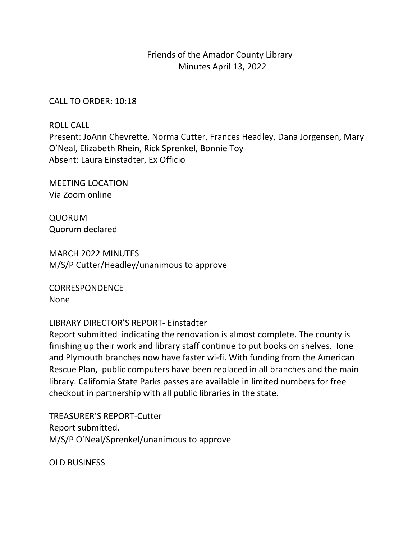## Friends of the Amador County Library Minutes April 13, 2022

## CALL TO ORDER: 10:18

ROLL CALL

Present: JoAnn Chevrette, Norma Cutter, Frances Headley, Dana Jorgensen, Mary O'Neal, Elizabeth Rhein, Rick Sprenkel, Bonnie Toy Absent: Laura Einstadter, Ex Officio

MEETING LOCATION Via Zoom online

QUORUM Quorum declared

MARCH 2022 MINUTES M/S/P Cutter/Headley/unanimous to approve

CORRESPONDENCE None

LIBRARY DIRECTOR'S REPORT- Einstadter 

Report submitted indicating the renovation is almost complete. The county is finishing up their work and library staff continue to put books on shelves. lone and Plymouth branches now have faster wi-fi. With funding from the American Rescue Plan, public computers have been replaced in all branches and the main library. California State Parks passes are available in limited numbers for free checkout in partnership with all public libraries in the state.

TREASURER'S REPORT-Cutter Report submitted. M/S/P O'Neal/Sprenkel/unanimous to approve

OLD BUSINESS